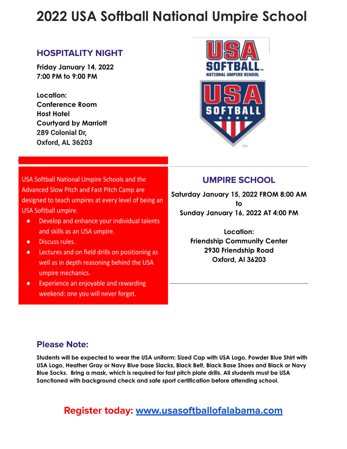# **2022 USA Softball National Umpire School**

#### **HOSPITALITY NIGHT**

**Friday January 14, 2022 7:00 PM to 9:00 PM**

**Location: Conference Room Host Hotel Courtyard by Marriott 289 Colonial Dr, Oxford, AL 36203**



USA Softball National Umpire Schools and the Advanced Slow Pitch and Fast Pitch Camp are designed to teach umpires at every level of being an USA Softball umpire.

- Develop and enhance your individual talents ٠ and skills as an USA umpire.
- Discuss rules. ٠
- Lectures and on field drills on positioning as ٠ well as in depth reasoning behind the USA umpire mechanics.
- Experience an enjoyable and rewarding ٠ weekend: one you will never forget.

### **UMPIRE SCHOOL**

**Saturday January 15, 2022 FROM 8:00 AM to Sunday January 16, 2022 AT 4:00 PM**

> **Location: Friendship Community Center 2930 Friendship Road Oxford, Al 36203**

#### **Please Note:**

**Students will be expected to wear the USA uniform: Sized Cap with USA Logo, Powder Blue Shirt with USA Logo, Heather Gray or Navy Blue base Slacks, Black Belt, Black Base Shoes and Black or Navy Blue Socks. Bring a mask, which is required for fast pitch plate drills. All students must be USA Sanctioned with background check and safe sport certification before attending school.**

## **Register today: [www.usasoftballofalabama.com](http://www.usasoftballofalabama.com)**